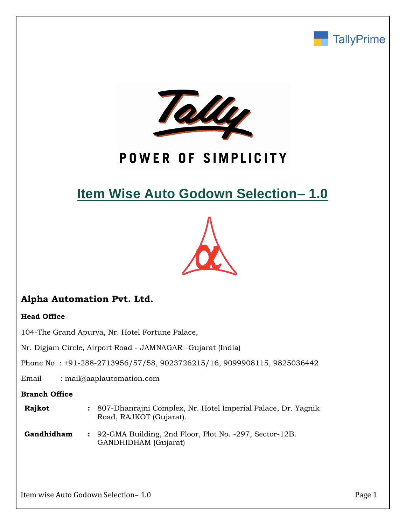



## POWER OF SIMPLICITY

# **Item Wise Auto Godown Selection– 1.0**



## **Alpha Automation Pvt. Ltd.**

### **Head Office**

104-The Grand Apurva, Nr. Hotel Fortune Palace,

Nr. Digjam Circle, Airport Road - JAMNAGAR –Gujarat (India)

Phone No. : +91-288-2713956/57/58, 9023726215/16, 9099908115, 9825036442

Email : mail@aaplautomation.com

#### **Branch Office**

| Rajkot | : 807-Dhanrajni Complex, Nr. Hotel Imperial Palace, Dr. Yagnik |
|--------|----------------------------------------------------------------|
|        | Road, RAJKOT (Gujarat).                                        |

**Gandhidham :** 92-GMA Building, 2nd Floor, Plot No. -297, Sector-12B. GANDHIDHAM (Gujarat)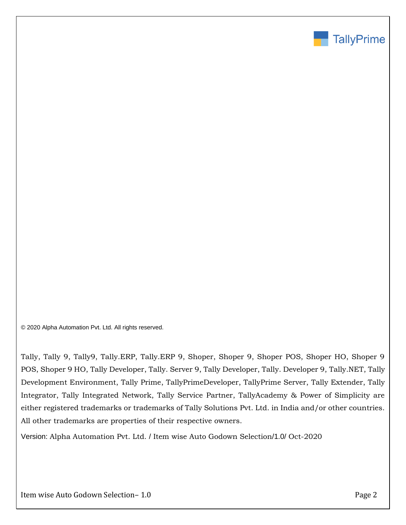

© 2020 Alpha Automation Pvt. Ltd. All rights reserved.

Tally, Tally 9, Tally9, Tally.ERP, Tally.ERP 9, Shoper, Shoper 9, Shoper POS, Shoper HO, Shoper 9 POS, Shoper 9 HO, Tally Developer, Tally. Server 9, Tally Developer, Tally. Developer 9, Tally.NET, Tally Development Environment, Tally Prime, TallyPrimeDeveloper, TallyPrime Server, Tally Extender, Tally Integrator, Tally Integrated Network, Tally Service Partner, TallyAcademy & Power of Simplicity are either registered trademarks or trademarks of Tally Solutions Pvt. Ltd. in India and/or other countries. All other trademarks are properties of their respective owners.

Version: Alpha Automation Pvt. Ltd. / Item wise Auto Godown Selection/1.0/ Oct-2020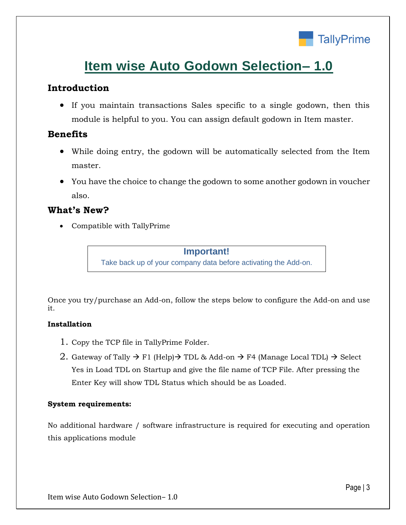

## **Item wise Auto Godown Selection– 1.0**

## **Introduction**

• If you maintain transactions Sales specific to a single godown, then this module is helpful to you. You can assign default godown in Item master.

## **Benefits**

- While doing entry, the godown will be automatically selected from the Item master.
- You have the choice to change the godown to some another godown in voucher also.

## **What's New?**

• Compatible with TallyPrime

#### **Important!**

Take back up of your company data before activating the Add-on.

Once you try/purchase an Add-on, follow the steps below to configure the Add-on and use it.

### **Installation**

- 1. Copy the TCP file in TallyPrime Folder.
- 2. Gateway of Tally  $\rightarrow$  F1 (Help) $\rightarrow$  TDL & Add-on  $\rightarrow$  F4 (Manage Local TDL)  $\rightarrow$  Select Yes in Load TDL on Startup and give the file name of TCP File. After pressing the Enter Key will show TDL Status which should be as Loaded.

#### **System requirements:**

No additional hardware / software infrastructure is required for executing and operation this applications module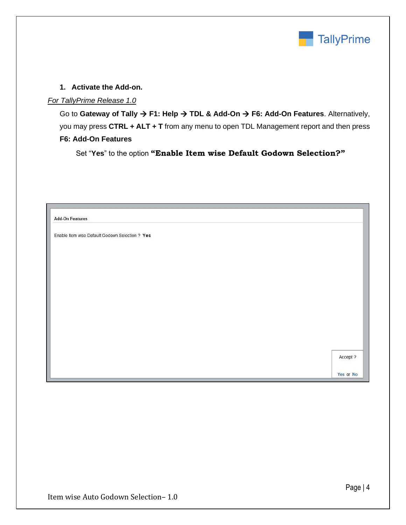

#### **1. Activate the Add-on.**

#### *For TallyPrime Release 1.0*

Go to **Gateway of Tally** → **F1: Help** → **TDL & Add-On** → **F6: Add-On Features**. Alternatively, you may press **CTRL + ALT + T** from any menu to open TDL Management report and then press **F6: Add-On Features**

Set "**Yes**" to the option **"Enable Item wise Default Godown Selection?"**

| <b>Add-On Features</b>                          |           |
|-------------------------------------------------|-----------|
| Enable Item wise Default Godown Selection ? Yes |           |
|                                                 |           |
|                                                 |           |
|                                                 |           |
|                                                 |           |
|                                                 |           |
|                                                 |           |
|                                                 |           |
|                                                 | Accept ?  |
|                                                 |           |
|                                                 | Yes or No |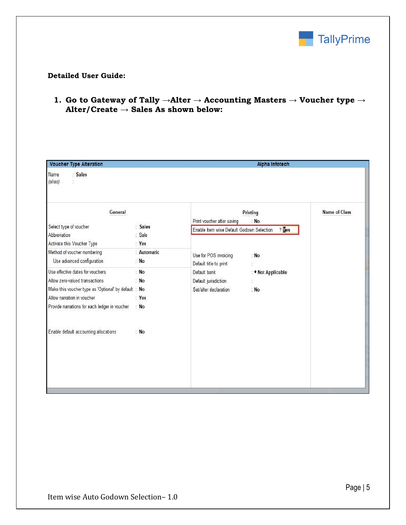

#### **Detailed User Guide:**

**1. Go to Gateway of Tally →Alter → Accounting Masters → Voucher type → Alter/Create → Sales As shown below:**

|                                                                                                                                          | <b>Alpha Infotech</b>                                         |                              |                                                     |  |  |  |
|------------------------------------------------------------------------------------------------------------------------------------------|---------------------------------------------------------------|------------------------------|-----------------------------------------------------|--|--|--|
|                                                                                                                                          |                                                               |                              |                                                     |  |  |  |
| General                                                                                                                                  |                                                               | Printing                     |                                                     |  |  |  |
| : Sales<br>: Sale                                                                                                                        |                                                               | $?$ Tes                      |                                                     |  |  |  |
| : Automatic<br>$:$ No                                                                                                                    | Use for POS invoicing<br>Default title to print               | : No                         |                                                     |  |  |  |
| $:$ No<br>$:$ No<br>Make this voucher type as 'Optional' by default : No<br>Yes<br>Provide narrations for each ledger in voucher<br>: No | Default bank<br>Default jurisdiction<br>Set/alter declaration | : ◆ Not Applicable<br>$:$ No |                                                     |  |  |  |
| $:$ No                                                                                                                                   |                                                               |                              |                                                     |  |  |  |
|                                                                                                                                          | : Yes                                                         | Print voucher after saving   | $:$ No<br>Enable Item wise Default Godown Selection |  |  |  |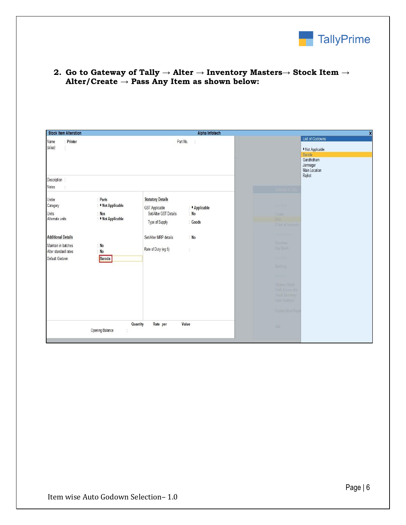

| <b>Stock Item Alteration</b>                                                                                                                                                                                                              | Alpha Infotech                                                                                                                                                                                                      |                                                                                                                                                                                                                                        |
|-------------------------------------------------------------------------------------------------------------------------------------------------------------------------------------------------------------------------------------------|---------------------------------------------------------------------------------------------------------------------------------------------------------------------------------------------------------------------|----------------------------------------------------------------------------------------------------------------------------------------------------------------------------------------------------------------------------------------|
| : Printer<br>Name<br>(alias)<br>$\hat{\mathbb{S}}$                                                                                                                                                                                        | Part No.<br>$\mathcal{Q}$                                                                                                                                                                                           | <b>List of Godowns</b><br>• Not Applicable<br>Baroda<br>Gandhidham<br>Jamnagar<br>Main Location<br>Rajkot                                                                                                                              |
| Description :<br>Notes<br>ţ.                                                                                                                                                                                                              |                                                                                                                                                                                                                     | <b>Carl Pathway AFTSI</b>                                                                                                                                                                                                              |
| Under<br>: Parts<br>: • Not Applicable<br>Category<br>Units<br>: Nos<br>: • Not Applicable<br>Alternate units<br><b>Additional Details</b><br>$:$ No<br>Maintain in batches<br>Alter standard rates<br>: $No$<br>Default Godown<br>Baroda | <b>Statutory Details</b><br>: <i>*</i> Applicable<br><b>GST Applicable</b><br>Set/Alter GST Details<br>: No<br>: Goods<br>Type of Supply<br>Set/Alter MRP details<br>$:$ No<br>Rate of Duty (eg 5)<br>$\frac{1}{2}$ | <b>LSTEP</b><br>Create<br>Alter<br>CHart of Accounts<br><b>RASANCA</b><br>Vouchers<br>Day Book<br>munes<br>Balling<br><b>Hora</b><br><b>Balance Sheet</b><br>Profit & Loss A/c<br>Steck Summary<br>Ratio Analysis<br>Display More Repo |
| Opening Balance                                                                                                                                                                                                                           | Value<br>Quantity<br>Rate per<br>ğ,                                                                                                                                                                                 | Guit                                                                                                                                                                                                                                   |

**2. Go to Gateway of Tally → Alter → Inventory Masters→ Stock Item → Alter/Create → Pass Any Item as shown below:**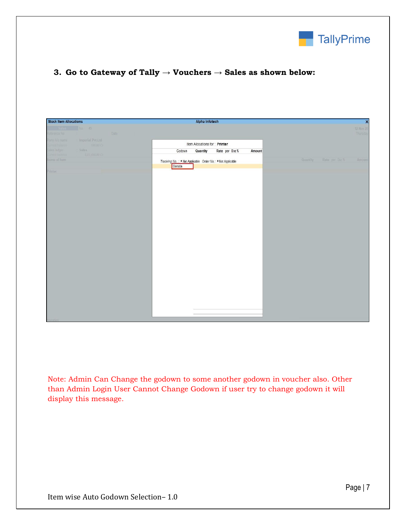

### **3. Go to Gateway of Tally → Vouchers → Sales as shown below:**

| <b>Stock Item Allocations</b>         |                                 |      |                                                                      | Alpha Infotech                |                 |        |          |                              | $\overline{\mathbf{x}}$ |
|---------------------------------------|---------------------------------|------|----------------------------------------------------------------------|-------------------------------|-----------------|--------|----------|------------------------------|-------------------------|
| Reference No                          | sales No 45                     | Date |                                                                      |                               |                 |        |          |                              | 12-Nov-20<br>Thursday   |
| Party A/c name<br>unent de imce       | Imperial Pvt.Ltd.<br>100,00 Cr  |      |                                                                      | Item Allocations for: Printer |                 |        |          |                              |                         |
| Sales ledger<br><b>Urient</b> balance | Sules:<br><b>0.07.498.00 CF</b> |      | Godown                                                               | Quantity                      | Rate per Disc % | Amount |          |                              |                         |
| Name of Item                          |                                 |      | Tracking No.: + Not Applicable Order No.: + Not Applicable<br>Baroda |                               |                 |        | Quantity | Rate per Disc <sup>a</sup> s | Amount                  |
| Printer                               |                                 |      |                                                                      |                               |                 |        |          |                              |                         |
|                                       |                                 |      |                                                                      |                               |                 |        |          |                              |                         |
|                                       |                                 |      |                                                                      |                               |                 |        |          |                              |                         |
|                                       |                                 |      |                                                                      |                               |                 |        |          |                              |                         |
|                                       |                                 |      |                                                                      |                               |                 |        |          |                              |                         |
|                                       |                                 |      |                                                                      |                               |                 |        |          |                              |                         |
|                                       |                                 |      |                                                                      |                               |                 |        |          |                              |                         |
|                                       |                                 |      |                                                                      |                               |                 |        |          |                              |                         |
|                                       |                                 |      |                                                                      |                               |                 |        |          |                              |                         |
|                                       |                                 |      |                                                                      |                               |                 |        |          |                              |                         |
|                                       |                                 |      |                                                                      |                               |                 |        |          |                              |                         |
|                                       |                                 |      |                                                                      |                               |                 |        |          |                              |                         |
|                                       |                                 |      |                                                                      |                               |                 |        |          |                              |                         |
|                                       |                                 |      |                                                                      |                               |                 |        |          |                              |                         |
|                                       |                                 |      |                                                                      |                               |                 |        |          |                              |                         |
| <b>History</b>                        |                                 |      |                                                                      |                               |                 |        |          |                              |                         |

Note: Admin Can Change the godown to some another godown in voucher also. Other than Admin Login User Cannot Change Godown if user try to change godown it will display this message.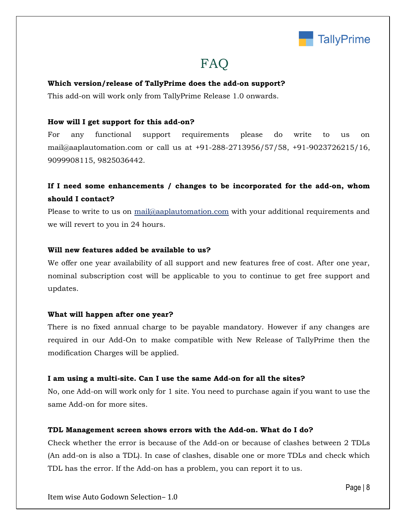

## **FAQ**

#### **Which version/release of TallyPrime does the add-on support?**

This add-on will work only from TallyPrime Release 1.0 onwards.

#### **How will I get support for this add-on?**

For any functional support requirements please do write to us on mail@aaplautomation.com or call us at +91-288-2713956/57/58, +91-9023726215/16, 9099908115, 9825036442.

## **If I need some enhancements / changes to be incorporated for the add-on, whom should I contact?**

Please to write to us on mail@aaplautomation.com with your additional requirements and we will revert to you in 24 hours.

#### **Will new features added be available to us?**

We offer one year availability of all support and new features free of cost. After one year, nominal subscription cost will be applicable to you to continue to get free support and updates.

#### **What will happen after one year?**

There is no fixed annual charge to be payable mandatory. However if any changes are required in our Add-On to make compatible with New Release of TallyPrime then the modification Charges will be applied.

#### **I am using a multi-site. Can I use the same Add-on for all the sites?**

No, one Add-on will work only for 1 site. You need to purchase again if you want to use the same Add-on for more sites.

#### **TDL Management screen shows errors with the Add-on. What do I do?**

Check whether the error is because of the Add-on or because of clashes between 2 TDLs (An add-on is also a TDL). In case of clashes, disable one or more TDLs and check which TDL has the error. If the Add-on has a problem, you can report it to us.